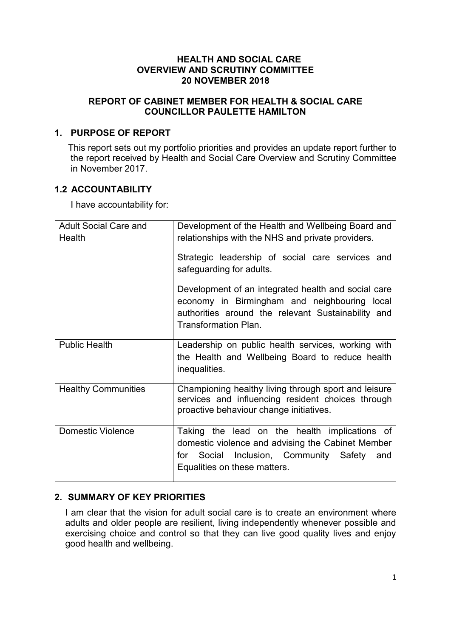## **HEALTH AND SOCIAL CARE OVERVIEW AND SCRUTINY COMMITTEE 20 NOVEMBER 2018**

# **REPORT OF CABINET MEMBER FOR HEALTH & SOCIAL CARE COUNCILLOR PAULETTE HAMILTON**

# **1. PURPOSE OF REPORT**

This report sets out my portfolio priorities and provides an update report further to the report received by Health and Social Care Overview and Scrutiny Committee in November 2017.

# **1.2 ACCOUNTABILITY**

I have accountability for:

| <b>Adult Social Care and</b><br>Health | Development of the Health and Wellbeing Board and<br>relationships with the NHS and private providers.                                                                                   |
|----------------------------------------|------------------------------------------------------------------------------------------------------------------------------------------------------------------------------------------|
|                                        | Strategic leadership of social care services and<br>safeguarding for adults.                                                                                                             |
|                                        | Development of an integrated health and social care<br>economy in Birmingham and neighbouring local<br>authorities around the relevant Sustainability and<br><b>Transformation Plan.</b> |
| <b>Public Health</b>                   | Leadership on public health services, working with<br>the Health and Wellbeing Board to reduce health<br>inequalities.                                                                   |
| <b>Healthy Communities</b>             | Championing healthy living through sport and leisure<br>services and influencing resident choices through<br>proactive behaviour change initiatives.                                     |
| <b>Domestic Violence</b>               | Taking the lead on the health implications of<br>domestic violence and advising the Cabinet Member<br>Social Inclusion, Community Safety<br>for<br>and<br>Equalities on these matters.   |

# **2. SUMMARY OF KEY PRIORITIES**

I am clear that the vision for adult social care is to create an environment where adults and older people are resilient, living independently whenever possible and exercising choice and control so that they can live good quality lives and enjoy good health and wellbeing.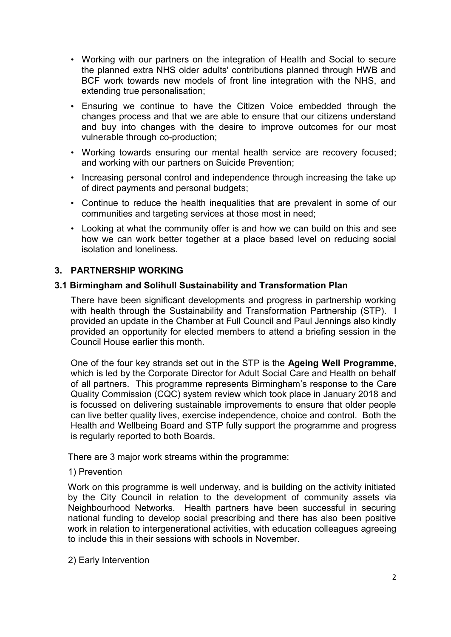- Working with our partners on the integration of Health and Social to secure the planned extra NHS older adults' contributions planned through HWB and BCF work towards new models of front line integration with the NHS, and extending true personalisation;
- Ensuring we continue to have the Citizen Voice embedded through the changes process and that we are able to ensure that our citizens understand and buy into changes with the desire to improve outcomes for our most vulnerable through co-production;
- Working towards ensuring our mental health service are recovery focused; and working with our partners on Suicide Prevention;
- Increasing personal control and independence through increasing the take up of direct payments and personal budgets;
- Continue to reduce the health inequalities that are prevalent in some of our communities and targeting services at those most in need;
- Looking at what the community offer is and how we can build on this and see how we can work better together at a place based level on reducing social isolation and loneliness.

## **3. PARTNERSHIP WORKING**

#### **3.1 Birmingham and Solihull Sustainability and Transformation Plan**

There have been significant developments and progress in partnership working with health through the Sustainability and Transformation Partnership (STP). I provided an update in the Chamber at Full Council and Paul Jennings also kindly provided an opportunity for elected members to attend a briefing session in the Council House earlier this month.

One of the four key strands set out in the STP is the **Ageing Well Programme**, which is led by the Corporate Director for Adult Social Care and Health on behalf of all partners. This programme represents Birmingham's response to the Care Quality Commission (CQC) system review which took place in January 2018 and is focussed on delivering sustainable improvements to ensure that older people can live better quality lives, exercise independence, choice and control. Both the Health and Wellbeing Board and STP fully support the programme and progress is regularly reported to both Boards.

There are 3 major work streams within the programme:

#### 1) Prevention

Work on this programme is well underway, and is building on the activity initiated by the City Council in relation to the development of community assets via Neighbourhood Networks. Health partners have been successful in securing national funding to develop social prescribing and there has also been positive work in relation to intergenerational activities, with education colleagues agreeing to include this in their sessions with schools in November.

2) Early Intervention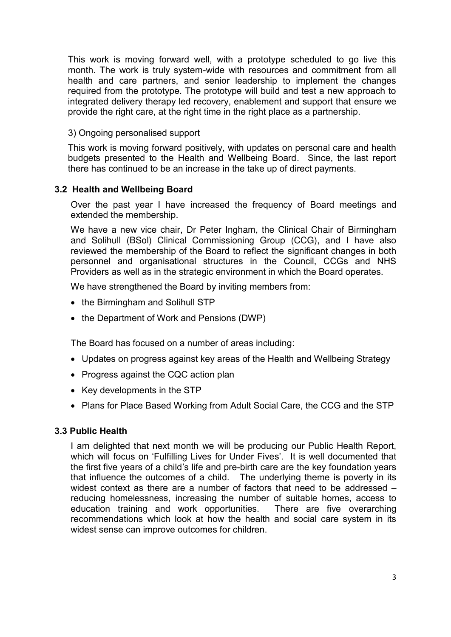This work is moving forward well, with a prototype scheduled to go live this month. The work is truly system-wide with resources and commitment from all health and care partners, and senior leadership to implement the changes required from the prototype. The prototype will build and test a new approach to integrated delivery therapy led recovery, enablement and support that ensure we provide the right care, at the right time in the right place as a partnership.

#### 3) Ongoing personalised support

This work is moving forward positively, with updates on personal care and health budgets presented to the Health and Wellbeing Board. Since, the last report there has continued to be an increase in the take up of direct payments.

## **3.2 Health and Wellbeing Board**

Over the past year I have increased the frequency of Board meetings and extended the membership.

We have a new vice chair, Dr Peter Ingham, the Clinical Chair of Birmingham and Solihull (BSol) Clinical Commissioning Group (CCG), and I have also reviewed the membership of the Board to reflect the significant changes in both personnel and organisational structures in the Council, CCGs and NHS Providers as well as in the strategic environment in which the Board operates.

We have strengthened the Board by inviting members from:

- the Birmingham and Solihull STP
- the Department of Work and Pensions (DWP)

The Board has focused on a number of areas including:

- Updates on progress against key areas of the Health and Wellbeing Strategy
- Progress against the CQC action plan
- Key developments in the STP
- Plans for Place Based Working from Adult Social Care, the CCG and the STP

## **3.3 Public Health**

I am delighted that next month we will be producing our Public Health Report, which will focus on 'Fulfilling Lives for Under Fives'. It is well documented that the first five years of a child's life and pre-birth care are the key foundation years that influence the outcomes of a child. The underlying theme is poverty in its widest context as there are a number of factors that need to be addressed – reducing homelessness, increasing the number of suitable homes, access to education training and work opportunities. There are five overarching recommendations which look at how the health and social care system in its widest sense can improve outcomes for children.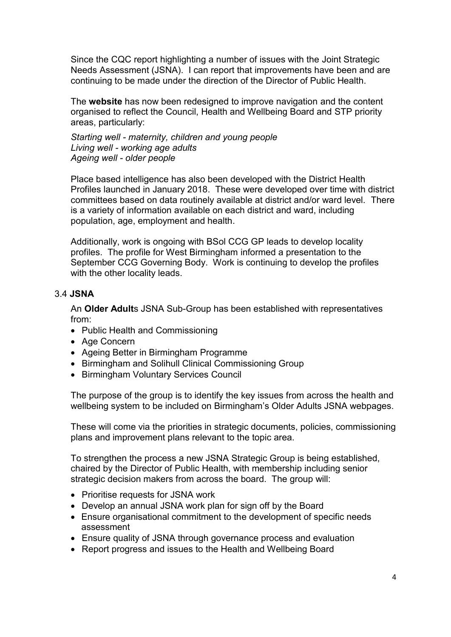Since the CQC report highlighting a number of issues with the Joint Strategic Needs Assessment (JSNA). I can report that improvements have been and are continuing to be made under the direction of the Director of Public Health.

The **website** has now been redesigned to improve navigation and the content organised to reflect the Council, Health and Wellbeing Board and STP priority areas, particularly:

*Starting well - maternity, children and young people Living well - working age adults Ageing well - older people* 

Place based intelligence has also been developed with the District Health Profiles launched in January 2018. These were developed over time with district committees based on data routinely available at district and/or ward level. There is a variety of information available on each district and ward, including population, age, employment and health.

Additionally, work is ongoing with BSol CCG GP leads to develop locality profiles. The profile for West Birmingham informed a presentation to the September CCG Governing Body. Work is continuing to develop the profiles with the other locality leads.

## 3.4 **JSNA**

An **Older Adult**s JSNA Sub-Group has been established with representatives from:

- Public Health and Commissioning
- Age Concern
- Ageing Better in Birmingham Programme
- Birmingham and Solihull Clinical Commissioning Group
- Birmingham Voluntary Services Council

The purpose of the group is to identify the key issues from across the health and wellbeing system to be included on Birmingham's Older Adults JSNA webpages.

These will come via the priorities in strategic documents, policies, commissioning plans and improvement plans relevant to the topic area.

To strengthen the process a new JSNA Strategic Group is being established, chaired by the Director of Public Health, with membership including senior strategic decision makers from across the board. The group will:

- Prioritise requests for JSNA work
- Develop an annual JSNA work plan for sign off by the Board
- Ensure organisational commitment to the development of specific needs assessment
- Ensure quality of JSNA through governance process and evaluation
- Report progress and issues to the Health and Wellbeing Board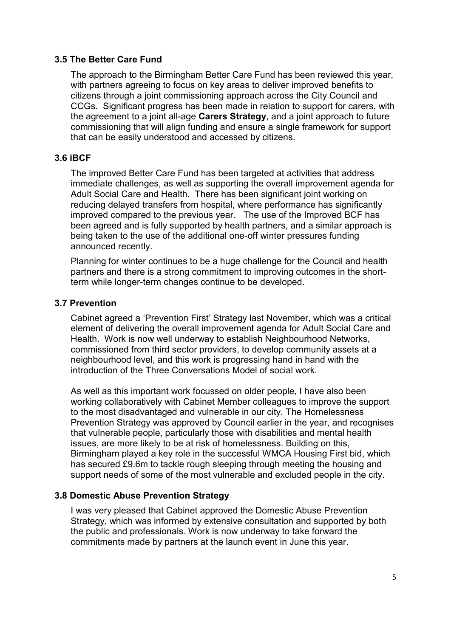#### **3.5 The Better Care Fund**

The approach to the Birmingham Better Care Fund has been reviewed this year, with partners agreeing to focus on key areas to deliver improved benefits to citizens through a joint commissioning approach across the City Council and CCGs. Significant progress has been made in relation to support for carers, with the agreement to a joint all-age **Carers Strategy**, and a joint approach to future commissioning that will align funding and ensure a single framework for support that can be easily understood and accessed by citizens.

#### **3.6 iBCF**

The improved Better Care Fund has been targeted at activities that address immediate challenges, as well as supporting the overall improvement agenda for Adult Social Care and Health. There has been significant joint working on reducing delayed transfers from hospital, where performance has significantly improved compared to the previous year. The use of the Improved BCF has been agreed and is fully supported by health partners, and a similar approach is being taken to the use of the additional one-off winter pressures funding announced recently.

Planning for winter continues to be a huge challenge for the Council and health partners and there is a strong commitment to improving outcomes in the shortterm while longer-term changes continue to be developed.

#### **3.7 Prevention**

Cabinet agreed a 'Prevention First' Strategy last November, which was a critical element of delivering the overall improvement agenda for Adult Social Care and Health. Work is now well underway to establish Neighbourhood Networks, commissioned from third sector providers, to develop community assets at a neighbourhood level, and this work is progressing hand in hand with the introduction of the Three Conversations Model of social work.

As well as this important work focussed on older people, I have also been working collaboratively with Cabinet Member colleagues to improve the support to the most disadvantaged and vulnerable in our city. The Homelessness Prevention Strategy was approved by Council earlier in the year, and recognises that vulnerable people, particularly those with disabilities and mental health issues, are more likely to be at risk of homelessness. Building on this, Birmingham played a key role in the successful WMCA Housing First bid, which has secured £9.6m to tackle rough sleeping through meeting the housing and support needs of some of the most vulnerable and excluded people in the city.

## **3.8 Domestic Abuse Prevention Strategy**

I was very pleased that Cabinet approved the Domestic Abuse Prevention Strategy, which was informed by extensive consultation and supported by both the public and professionals. Work is now underway to take forward the commitments made by partners at the launch event in June this year.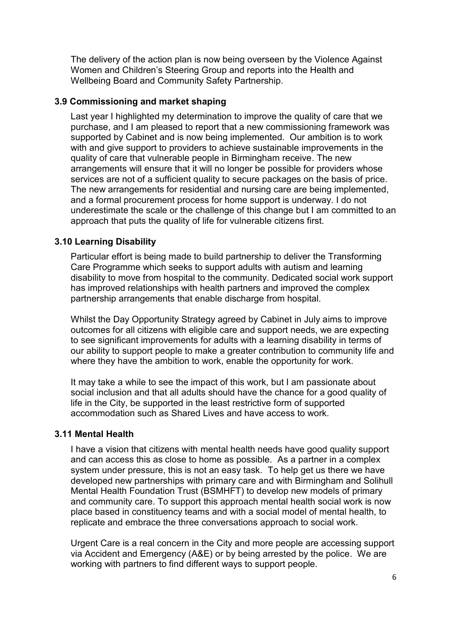The delivery of the action plan is now being overseen by the Violence Against Women and Children's Steering Group and reports into the Health and Wellbeing Board and Community Safety Partnership.

## **3.9 Commissioning and market shaping**

Last year I highlighted my determination to improve the quality of care that we purchase, and I am pleased to report that a new commissioning framework was supported by Cabinet and is now being implemented. Our ambition is to work with and give support to providers to achieve sustainable improvements in the quality of care that vulnerable people in Birmingham receive. The new arrangements will ensure that it will no longer be possible for providers whose services are not of a sufficient quality to secure packages on the basis of price. The new arrangements for residential and nursing care are being implemented, and a formal procurement process for home support is underway. I do not underestimate the scale or the challenge of this change but I am committed to an approach that puts the quality of life for vulnerable citizens first.

## **3.10 Learning Disability**

Particular effort is being made to build partnership to deliver the Transforming Care Programme which seeks to support adults with autism and learning disability to move from hospital to the community. Dedicated social work support has improved relationships with health partners and improved the complex partnership arrangements that enable discharge from hospital.

Whilst the Day Opportunity Strategy agreed by Cabinet in July aims to improve outcomes for all citizens with eligible care and support needs, we are expecting to see significant improvements for adults with a learning disability in terms of our ability to support people to make a greater contribution to community life and where they have the ambition to work, enable the opportunity for work.

It may take a while to see the impact of this work, but I am passionate about social inclusion and that all adults should have the chance for a good quality of life in the City, be supported in the least restrictive form of supported accommodation such as Shared Lives and have access to work.

## **3.11 Mental Health**

I have a vision that citizens with mental health needs have good quality support and can access this as close to home as possible. As a partner in a complex system under pressure, this is not an easy task. To help get us there we have developed new partnerships with primary care and with Birmingham and Solihull Mental Health Foundation Trust (BSMHFT) to develop new models of primary and community care. To support this approach mental health social work is now place based in constituency teams and with a social model of mental health, to replicate and embrace the three conversations approach to social work.

Urgent Care is a real concern in the City and more people are accessing support via Accident and Emergency (A&E) or by being arrested by the police. We are working with partners to find different ways to support people.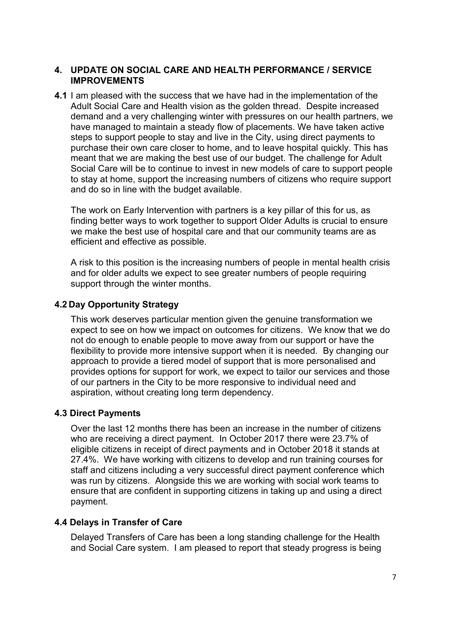## **4. UPDATE ON SOCIAL CARE AND HEALTH PERFORMANCE / SERVICE IMPROVEMENTS**

**4.1** I am pleased with the success that we have had in the implementation of the Adult Social Care and Health vision as the golden thread. Despite increased demand and a very challenging winter with pressures on our health partners, we have managed to maintain a steady flow of placements. We have taken active steps to support people to stay and live in the City, using direct payments to purchase their own care closer to home, and to leave hospital quickly. This has meant that we are making the best use of our budget. The challenge for Adult Social Care will be to continue to invest in new models of care to support people to stay at home, support the increasing numbers of citizens who require support and do so in line with the budget available.

The work on Early Intervention with partners is a key pillar of this for us, as finding better ways to work together to support Older Adults is crucial to ensure we make the best use of hospital care and that our community teams are as efficient and effective as possible.

A risk to this position is the increasing numbers of people in mental health crisis and for older adults we expect to see greater numbers of people requiring support through the winter months.

## **4.2 Day Opportunity Strategy**

This work deserves particular mention given the genuine transformation we expect to see on how we impact on outcomes for citizens. We know that we do not do enough to enable people to move away from our support or have the flexibility to provide more intensive support when it is needed. By changing our approach to provide a tiered model of support that is more personalised and provides options for support for work, we expect to tailor our services and those of our partners in the City to be more responsive to individual need and aspiration, without creating long term dependency.

## **4.3 Direct Payments**

Over the last 12 months there has been an increase in the number of citizens who are receiving a direct payment. In October 2017 there were 23.7% of eligible citizens in receipt of direct payments and in October 2018 it stands at 27.4%. We have working with citizens to develop and run training courses for staff and citizens including a very successful direct payment conference which was run by citizens. Alongside this we are working with social work teams to ensure that are confident in supporting citizens in taking up and using a direct payment.

## **4.4 Delays in Transfer of Care**

Delayed Transfers of Care has been a long standing challenge for the Health and Social Care system. I am pleased to report that steady progress is being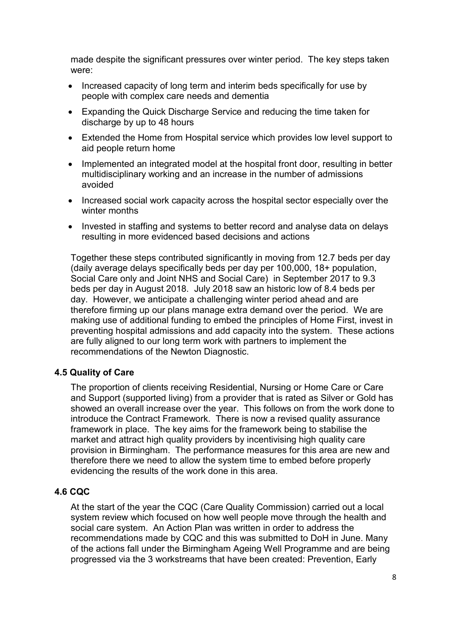made despite the significant pressures over winter period. The key steps taken were:

- Increased capacity of long term and interim beds specifically for use by people with complex care needs and dementia
- Expanding the Quick Discharge Service and reducing the time taken for discharge by up to 48 hours
- Extended the Home from Hospital service which provides low level support to aid people return home
- Implemented an integrated model at the hospital front door, resulting in better multidisciplinary working and an increase in the number of admissions avoided
- Increased social work capacity across the hospital sector especially over the winter months
- Invested in staffing and systems to better record and analyse data on delays resulting in more evidenced based decisions and actions

Together these steps contributed significantly in moving from 12.7 beds per day (daily average delays specifically beds per day per 100,000, 18+ population, Social Care only and Joint NHS and Social Care) in September 2017 to 9.3 beds per day in August 2018. July 2018 saw an historic low of 8.4 beds per day. However, we anticipate a challenging winter period ahead and are therefore firming up our plans manage extra demand over the period. We are making use of additional funding to embed the principles of Home First, invest in preventing hospital admissions and add capacity into the system. These actions are fully aligned to our long term work with partners to implement the recommendations of the Newton Diagnostic.

## **4.5 Quality of Care**

The proportion of clients receiving Residential, Nursing or Home Care or Care and Support (supported living) from a provider that is rated as Silver or Gold has showed an overall increase over the year. This follows on from the work done to introduce the Contract Framework. There is now a revised quality assurance framework in place. The key aims for the framework being to stabilise the market and attract high quality providers by incentivising high quality care provision in Birmingham. The performance measures for this area are new and therefore there we need to allow the system time to embed before properly evidencing the results of the work done in this area.

## **4.6 CQC**

At the start of the year the CQC (Care Quality Commission) carried out a local system review which focused on how well people move through the health and social care system. An Action Plan was written in order to address the recommendations made by CQC and this was submitted to DoH in June. Many of the actions fall under the Birmingham Ageing Well Programme and are being progressed via the 3 workstreams that have been created: Prevention, Early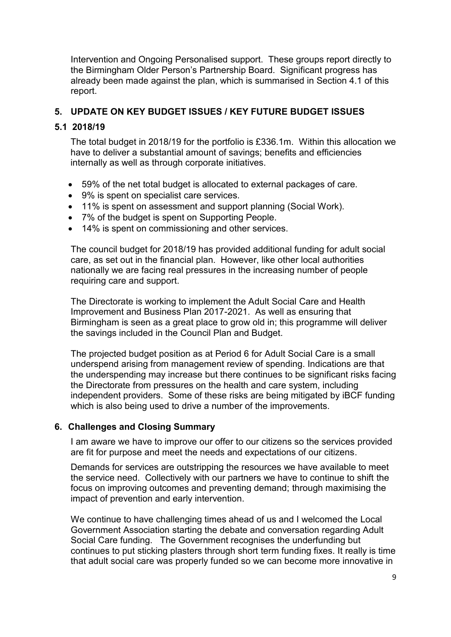Intervention and Ongoing Personalised support. These groups report directly to the Birmingham Older Person's Partnership Board. Significant progress has already been made against the plan, which is summarised in Section 4.1 of this report.

# **5. UPDATE ON KEY BUDGET ISSUES / KEY FUTURE BUDGET ISSUES**

## **5.1 2018/19**

The total budget in 2018/19 for the portfolio is £336.1m. Within this allocation we have to deliver a substantial amount of savings; benefits and efficiencies internally as well as through corporate initiatives.

- 59% of the net total budget is allocated to external packages of care.
- 9% is spent on specialist care services.
- 11% is spent on assessment and support planning (Social Work).
- 7% of the budget is spent on Supporting People.
- 14% is spent on commissioning and other services.

The council budget for 2018/19 has provided additional funding for adult social care, as set out in the financial plan. However, like other local authorities nationally we are facing real pressures in the increasing number of people requiring care and support.

The Directorate is working to implement the Adult Social Care and Health Improvement and Business Plan 2017-2021. As well as ensuring that Birmingham is seen as a great place to grow old in; this programme will deliver the savings included in the Council Plan and Budget.

The projected budget position as at Period 6 for Adult Social Care is a small underspend arising from management review of spending. Indications are that the underspending may increase but there continues to be significant risks facing the Directorate from pressures on the health and care system, including independent providers. Some of these risks are being mitigated by iBCF funding which is also being used to drive a number of the improvements.

## **6. Challenges and Closing Summary**

I am aware we have to improve our offer to our citizens so the services provided are fit for purpose and meet the needs and expectations of our citizens.

Demands for services are outstripping the resources we have available to meet the service need. Collectively with our partners we have to continue to shift the focus on improving outcomes and preventing demand; through maximising the impact of prevention and early intervention.

We continue to have challenging times ahead of us and I welcomed the Local Government Association starting the debate and conversation regarding Adult Social Care funding. The Government recognises the underfunding but continues to put sticking plasters through short term funding fixes. It really is time that adult social care was properly funded so we can become more innovative in